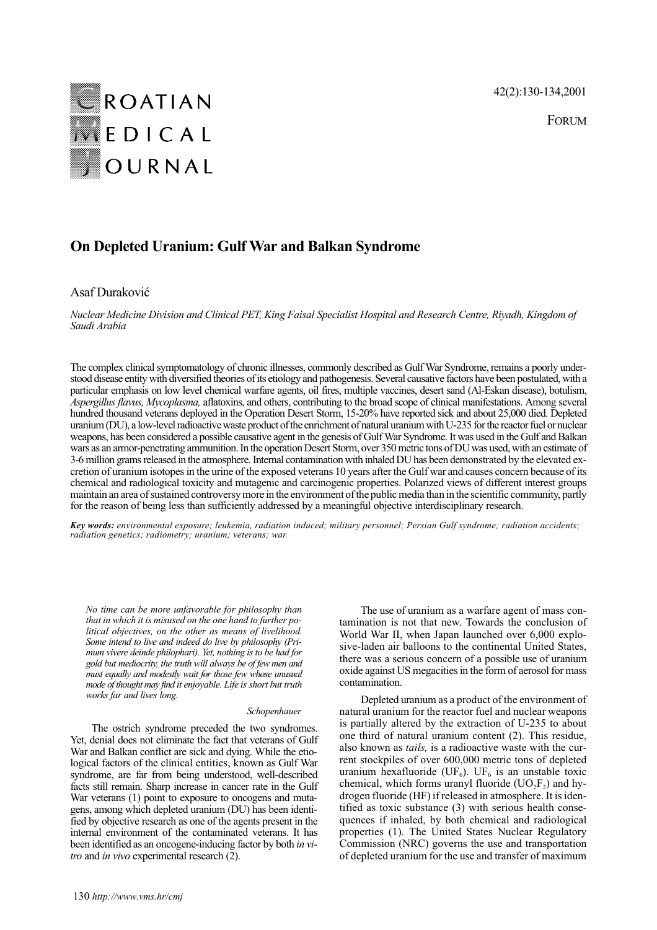42(2):130-134,2001

FORUM



# **On Depleted Uranium: Gulf War and Balkan Syndrome**

# Asaf Duraković

*Nuclear Medicine Division and Clinical PET, King Faisal Specialist Hospital and Research Centre, Riyadh, Kingdom of Saudi Arabia*

The complex clinical symptomatology of chronic illnesses, commonly described as Gulf War Syndrome, remains a poorly understood disease entity with diversified theories of its etiology and pathogenesis. Several causative factors have been postulated, with a particular emphasis on low level chemical warfare agents, oil fires, multiple vaccines, desert sand (Al-Eskan disease), botulism, *Aspergillus flavus, Mycoplasma,* aflatoxins, and others, contributing to the broad scope of clinical manifestations. Among several hundred thousand veterans deployed in the Operation Desert Storm, 15-20% have reported sick and about 25,000 died. Depleted uranium (DU), a low-level radioactive waste product of the enrichment of natural uranium with U-235 for the reactor fuel or nuclear weapons, has been considered a possible causative agent in the genesis of Gulf War Syndrome. It was used in the Gulf and Balkan wars as an armor-penetrating ammunition. In the operation Desert Storm, over 350 metric tons of DU was used, with an estimate of 3-6 million grams released in the atmosphere. Internal contamination with inhaled DU has been demonstrated by the elevated excretion of uranium isotopes in the urine of the exposed veterans 10 years after the Gulf war and causes concern because of its chemical and radiological toxicity and mutagenic and carcinogenic properties. Polarized views of different interest groups maintain an area of sustained controversy more in the environment of the public media than in the scientific community, partly for the reason of being less than sufficiently addressed by a meaningful objective interdisciplinary research.

*Key words: environmental exposure; leukemia, radiation induced; military personnel; Persian Gulf syndrome; radiation accidents; radiation genetics; radiometry; uranium; veterans; war.*

*No time can be more unfavorable for philosophy than that in which it is misused on the one hand to further political objectives, on the other as means of livelihood. Some intend to live and indeed do live by philosophy (Primum vivere deinde philophari). Yet, nothing is to be had for gold but mediocrity, the truth will always be of few men and must equally and modestly wait for those few whose unusual mode of thought may find it enjoyable. Life is short but truth works far and lives long.*

#### *Schopenhauer*

The ostrich syndrome preceded the two syndromes. Yet, denial does not eliminate the fact that veterans of Gulf War and Balkan conflict are sick and dying. While the etiological factors of the clinical entities, known as Gulf War syndrome, are far from being understood, well-described facts still remain. Sharp increase in cancer rate in the Gulf War veterans (1) point to exposure to oncogens and mutagens, among which depleted uranium (DU) has been identified by objective research as one of the agents present in the internal environment of the contaminated veterans. It has been identified as an oncogene-inducing factor by both *in vitro* and *in vivo* experimental research (2).

The use of uranium as a warfare agent of mass contamination is not that new. Towards the conclusion of World War II, when Japan launched over 6,000 explosive-laden air balloons to the continental United States, there was a serious concern of a possible use of uranium oxide against US megacities in the form of aerosol for mass contamination.

Depleted uranium as a product of the environment of natural uranium for the reactor fuel and nuclear weapons is partially altered by the extraction of U-235 to about one third of natural uranium content (2). This residue, also known as *tails,* is a radioactive waste with the current stockpiles of over 600,000 metric tons of depleted uranium hexafluoride (UF<sub>6</sub>). UF<sub>6</sub> is an unstable toxic chemical, which forms uranyl fluoride  $(UO<sub>2</sub>F<sub>2</sub>)$  and hydrogen fluoride (HF) if released in atmosphere. It is identified as toxic substance (3) with serious health consequences if inhaled, by both chemical and radiological properties (1). The United States Nuclear Regulatory Commission (NRC) governs the use and transportation of depleted uranium for the use and transfer of maximum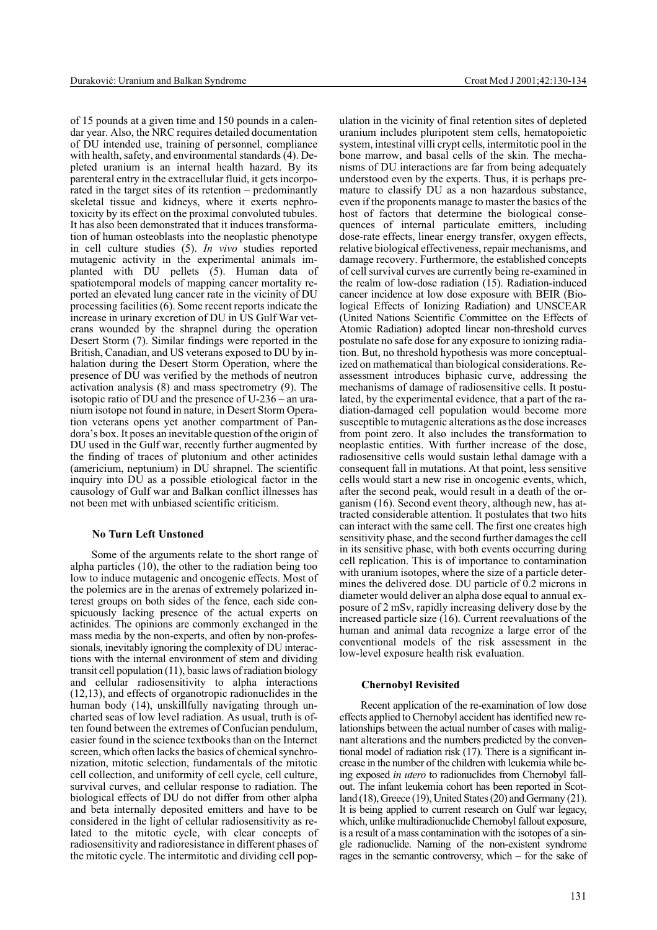of 15 pounds at a given time and 150 pounds in a calendar year. Also, the NRC requires detailed documentation of DU intended use, training of personnel, compliance with health, safety, and environmental standards (4). Depleted uranium is an internal health hazard. By its parenteral entry in the extracellular fluid, it gets incorporated in the target sites of its retention – predominantly skeletal tissue and kidneys, where it exerts nephrotoxicity by its effect on the proximal convoluted tubules. It has also been demonstrated that it induces transformation of human osteoblasts into the neoplastic phenotype in cell culture studies (5). *In vivo* studies reported mutagenic activity in the experimental animals implanted with DU pellets (5). Human data of spatiotemporal models of mapping cancer mortality reported an elevated lung cancer rate in the vicinity of DU processing facilities (6). Some recent reports indicate the increase in urinary excretion of DU in US Gulf War veterans wounded by the shrapnel during the operation Desert Storm (7). Similar findings were reported in the British, Canadian, and US veterans exposed to DU by inhalation during the Desert Storm Operation, where the presence of DU was verified by the methods of neutron activation analysis (8) and mass spectrometry (9). The isotopic ratio of DU and the presence of U-236 – an uranium isotope not found in nature, in Desert Storm Operation veterans opens yet another compartment of Pandora's box. It poses an inevitable question of the origin of DU used in the Gulf war, recently further augmented by the finding of traces of plutonium and other actinides (americium, neptunium) in DU shrapnel. The scientific inquiry into DU as a possible etiological factor in the causology of Gulf war and Balkan conflict illnesses has not been met with unbiased scientific criticism.

#### **No Turn Left Unstoned**

Some of the arguments relate to the short range of alpha particles (10), the other to the radiation being too low to induce mutagenic and oncogenic effects. Most of the polemics are in the arenas of extremely polarized interest groups on both sides of the fence, each side conspicuously lacking presence of the actual experts on actinides. The opinions are commonly exchanged in the mass media by the non-experts, and often by non-professionals, inevitably ignoring the complexity of DU interactions with the internal environment of stem and dividing transit cell population (11), basic laws of radiation biology and cellular radiosensitivity to alpha interactions (12,13), and effects of organotropic radionuclides in the human body (14), unskillfully navigating through uncharted seas of low level radiation. As usual, truth is often found between the extremes of Confucian pendulum, easier found in the science textbooks than on the Internet screen, which often lacks the basics of chemical synchronization, mitotic selection, fundamentals of the mitotic cell collection, and uniformity of cell cycle, cell culture, survival curves, and cellular response to radiation. The biological effects of DU do not differ from other alpha and beta internally deposited emitters and have to be considered in the light of cellular radiosensitivity as related to the mitotic cycle, with clear concepts of radiosensitivity and radioresistance in different phases of the mitotic cycle. The intermitotic and dividing cell pop-

ulation in the vicinity of final retention sites of depleted uranium includes pluripotent stem cells, hematopoietic system, intestinal villi crypt cells, intermitotic pool in the bone marrow, and basal cells of the skin. The mechanisms of DU interactions are far from being adequately understood even by the experts. Thus, it is perhaps premature to classify DU as a non hazardous substance, even if the proponents manage to master the basics of the host of factors that determine the biological consequences of internal particulate emitters, including dose-rate effects, linear energy transfer, oxygen effects, relative biological effectiveness, repair mechanisms, and damage recovery. Furthermore, the established concepts of cell survival curves are currently being re-examined in the realm of low-dose radiation (15). Radiation-induced cancer incidence at low dose exposure with BEIR (Biological Effects of Ionizing Radiation) and UNSCEAR (United Nations Scientific Committee on the Effects of Atomic Radiation) adopted linear non-threshold curves postulate no safe dose for any exposure to ionizing radiation. But, no threshold hypothesis was more conceptualized on mathematical than biological considerations. Reassessment introduces biphasic curve, addressing the mechanisms of damage of radiosensitive cells. It postulated, by the experimental evidence, that a part of the radiation-damaged cell population would become more susceptible to mutagenic alterations as the dose increases from point zero. It also includes the transformation to neoplastic entities. With further increase of the dose, radiosensitive cells would sustain lethal damage with a consequent fall in mutations. At that point, less sensitive cells would start a new rise in oncogenic events, which, after the second peak, would result in a death of the organism (16). Second event theory, although new, has attracted considerable attention. It postulates that two hits can interact with the same cell. The first one creates high sensitivity phase, and the second further damages the cell in its sensitive phase, with both events occurring during cell replication. This is of importance to contamination with uranium isotopes, where the size of a particle determines the delivered dose. DU particle of 0.2 microns in diameter would deliver an alpha dose equal to annual exposure of 2 mSv, rapidly increasing delivery dose by the increased particle size (16). Current reevaluations of the human and animal data recognize a large error of the conventional models of the risk assessment in the low-level exposure health risk evaluation.

### **Chernobyl Revisited**

Recent application of the re-examination of low dose effects applied to Chernobyl accident has identified new relationships between the actual number of cases with malignant alterations and the numbers predicted by the conventional model of radiation risk (17). There is a significant increase in the number of the children with leukemia while being exposed *in utero* to radionuclides from Chernobyl fallout. The infant leukemia cohort has been reported in Scotland (18), Greece (19), United States (20) and Germany (21). It is being applied to current research on Gulf war legacy, which, unlike multiradionuclide Chernobyl fallout exposure, is a result of a mass contamination with the isotopes of a single radionuclide. Naming of the non-existent syndrome rages in the semantic controversy, which – for the sake of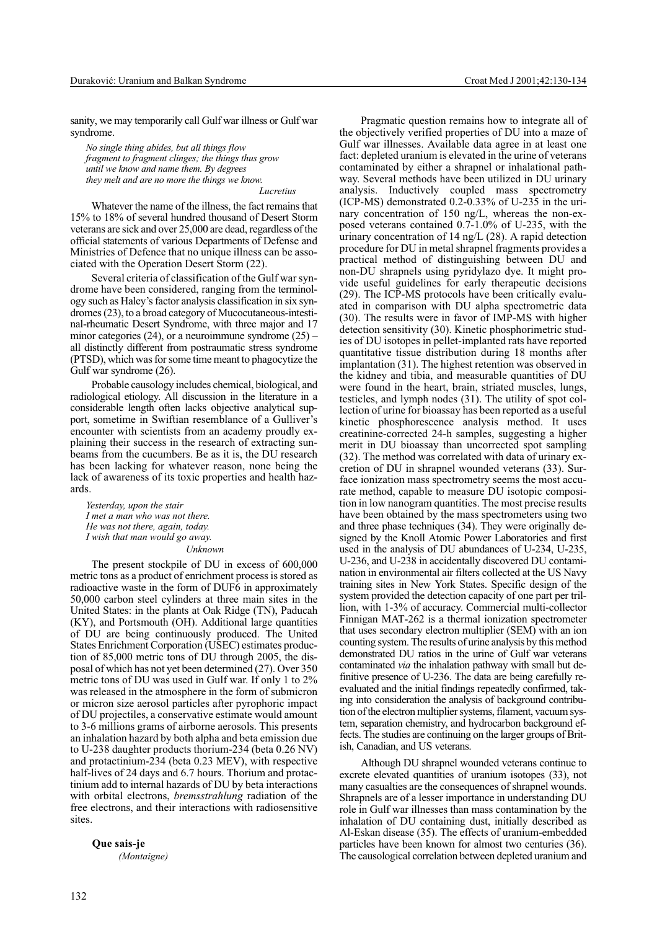sanity, we may temporarily call Gulf war illness or Gulf war syndrome.

*No single thing abides, but all things flow fragment to fragment clinges; the things thus grow until we know and name them. By degrees they melt and are no more the things we know. Lucretius*

Whatever the name of the illness, the fact remains that 15% to 18% of several hundred thousand of Desert Storm veterans are sick and over 25,000 are dead, regardless of the official statements of various Departments of Defense and Ministries of Defence that no unique illness can be associated with the Operation Desert Storm (22).

Several criteria of classification of the Gulf war syndrome have been considered, ranging from the terminology such as Haley's factor analysis classification in six syndromes (23), to a broad category of Mucocutaneous-intestinal-rheumatic Desert Syndrome, with three major and 17 minor categories (24), or a neuroimmune syndrome (25) – all distinctly different from postraumatic stress syndrome (PTSD), which was for some time meant to phagocytize the Gulf war syndrome (26).

Probable causology includes chemical, biological, and radiological etiology. All discussion in the literature in a considerable length often lacks objective analytical support, sometime in Swiftian resemblance of a Gulliver's encounter with scientists from an academy proudly explaining their success in the research of extracting sunbeams from the cucumbers. Be as it is, the DU research has been lacking for whatever reason, none being the lack of awareness of its toxic properties and health hazards.

*Yesterday, upon the stair I met a man who was not there. He was not there, again, today. I wish that man would go away.*

#### *Unknown*

The present stockpile of DU in excess of 600,000 metric tons as a product of enrichment process is stored as radioactive waste in the form of DUF6 in approximately 50,000 carbon steel cylinders at three main sites in the United States: in the plants at Oak Ridge (TN), Paducah (KY), and Portsmouth (OH). Additional large quantities of DU are being continuously produced. The United States Enrichment Corporation (USEC) estimates production of 85,000 metric tons of DU through 2005, the disposal of which has not yet been determined (27). Over 350 metric tons of DU was used in Gulf war. If only 1 to 2% was released in the atmosphere in the form of submicron or micron size aerosol particles after pyrophoric impact of DU projectiles, a conservative estimate would amount to 3-6 millions grams of airborne aerosols. This presents an inhalation hazard by both alpha and beta emission due to U-238 daughter products thorium-234 (beta 0.26 NV) and protactinium-234 (beta 0.23 MEV), with respective half-lives of 24 days and 6.7 hours. Thorium and protactinium add to internal hazards of DU by beta interactions with orbital electrons, *bremsstrahlung* radiation of the free electrons, and their interactions with radiosensitive sites.

**Que sais-je** *(Montaigne)*

Pragmatic question remains how to integrate all of the objectively verified properties of DU into a maze of Gulf war illnesses. Available data agree in at least one fact: depleted uranium is elevated in the urine of veterans contaminated by either a shrapnel or inhalational pathway. Several methods have been utilized in DU urinary analysis. Inductively coupled mass spectrometry  $(ICP-MS)$  demonstrated 0.2-0.33% of U-235 in the urinary concentration of 150 ng/L, whereas the non-exposed veterans contained 0.7-1.0% of U-235, with the urinary concentration of 14 ng/L (28). A rapid detection procedure for DU in metal shrapnel fragments provides a practical method of distinguishing between DU and non-DU shrapnels using pyridylazo dye. It might provide useful guidelines for early therapeutic decisions (29). The ICP-MS protocols have been critically evaluated in comparison with DU alpha spectrometric data (30). The results were in favor of IMP-MS with higher detection sensitivity (30). Kinetic phosphorimetric studies of DU isotopes in pellet-implanted rats have reported quantitative tissue distribution during 18 months after implantation (31). The highest retention was observed in the kidney and tibia, and measurable quantities of DU were found in the heart, brain, striated muscles, lungs, testicles, and lymph nodes (31). The utility of spot collection of urine for bioassay has been reported as a useful kinetic phosphorescence analysis method. It uses creatinine-corrected 24-h samples, suggesting a higher merit in DU bioassay than uncorrected spot sampling (32). The method was correlated with data of urinary excretion of DU in shrapnel wounded veterans (33). Surface ionization mass spectrometry seems the most accurate method, capable to measure DU isotopic composition in low nanogram quantities. The most precise results have been obtained by the mass spectrometers using two and three phase techniques (34). They were originally designed by the Knoll Atomic Power Laboratories and first used in the analysis of DU abundances of U-234, U-235, U-236, and U-238 in accidentally discovered DU contamination in environmental air filters collected at the US Navy training sites in New York States. Specific design of the system provided the detection capacity of one part per trillion, with 1-3% of accuracy. Commercial multi-collector Finnigan MAT-262 is a thermal ionization spectrometer that uses secondary electron multiplier (SEM) with an ion counting system. The results of urine analysis by this method demonstrated DU ratios in the urine of Gulf war veterans contaminated *via* the inhalation pathway with small but definitive presence of U-236. The data are being carefully reevaluated and the initial findings repeatedly confirmed, taking into consideration the analysis of background contribution of the electron multiplier systems, filament, vacuum system, separation chemistry, and hydrocarbon background effects. The studies are continuing on the larger groups of British, Canadian, and US veterans.

Although DU shrapnel wounded veterans continue to excrete elevated quantities of uranium isotopes (33), not many casualties are the consequences of shrapnel wounds. Shrapnels are of a lesser importance in understanding DU role in Gulf war illnesses than mass contamination by the inhalation of DU containing dust, initially described as Al-Eskan disease (35). The effects of uranium-embedded particles have been known for almost two centuries (36). The causological correlation between depleted uranium and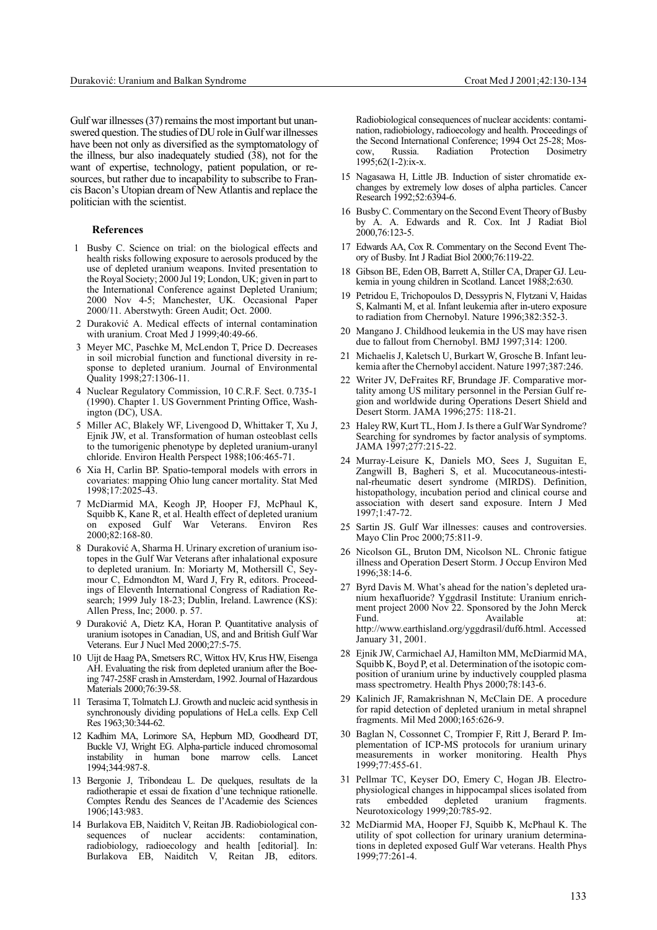Gulf war illnesses (37) remains the most important but unanswered question. The studies of DU role in Gulf war illnesses have been not only as diversified as the symptomatology of the illness, bur also inadequately studied  $(38)$ , not for the want of expertise, technology, patient population, or resources, but rather due to incapability to subscribe to Francis Bacon's Utopian dream of New Atlantis and replace the politician with the scientist.

#### **References**

- 1 Busby C. Science on trial: on the biological effects and health risks following exposure to aerosols produced by the use of depleted uranium weapons. Invited presentation to the Royal Society; 2000 Jul 19; London, UK; given in part to the International Conference against Depleted Uranium; 2000 Nov 4-5; Manchester, UK. Occasional Paper 2000/11. Aberstwyth: Green Audit; Oct. 2000.
- 2 Durakoviæ A. Medical effects of internal contamination with uranium. Croat Med J 1999;40:49-66.
- 3 Meyer MC, Paschke M, McLendon T, Price D. Decreases in soil microbial function and functional diversity in response to depleted uranium. Journal of Environmental Quality 1998;27:1306-11.
- 4 Nuclear Regulatory Commission, 10 C.R.F. Sect. 0.735-1 (1990). Chapter 1. US Government Printing Office, Washington (DC), USA.
- 5 Miller AC, Blakely WF, Livengood D, Whittaker T, Xu J, Ejnik JW, et al. Transformation of human osteoblast cells to the tumorigenic phenotype by depleted uranium-uranyl chloride. Environ Health Perspect 1988;106:465-71.
- 6 Xia H, Carlin BP. Spatio-temporal models with errors in covariates: mapping Ohio lung cancer mortality. Stat Med 1998;17:2025-43.
- 7 McDiarmid MA, Keogh JP, Hooper FJ, McPhaul K, Squibb K, Kane R, et al. Health effect of depleted uranium on exposed Gulf War Veterans. Environ Res 2000;82:168-80.
- 8 Duraković A, Sharma H. Urinary excretion of uranium isotopes in the Gulf War Veterans after inhalational exposure to depleted uranium. In: Moriarty M, Mothersill C, Seymour C, Edmondton M, Ward J, Fry R, editors. Proceedings of Eleventh International Congress of Radiation Research; 1999 July 18-23; Dublin, Ireland. Lawrence (KS): Allen Press, Inc; 2000. p. 57.
- 9 Durakoviæ A, Dietz KA, Horan P. Quantitative analysis of uranium isotopes in Canadian, US, and and British Gulf War Veterans. Eur J Nucl Med 2000;27:5-75.
- 10 Uijt de Haag PA, Smetsers RC, Wittox HV, Krus HW, Eisenga AH. Evaluating the risk from depleted uranium after the Boeing 747-258F crash in Amsterdam, 1992. Journal of Hazardous Materials 2000;76:39-58.
- 11 Terasima T, Tolmatch LJ. Growth and nucleic acid synthesis in synchronously dividing populations of HeLa cells. Exp Cell Res 1963;30:344-62.
- 12 Kadhim MA, Lorimore SA, Hepburn MD, Goodheard DT, Buckle VJ, Wright EG. Alpha-particle induced chromosomal instability in human bone marrow cells. Lancet 1994;344:987-8.
- 13 Bergonie J, Tribondeau L. De quelques, resultats de la radiotherapie et essai de fixation d'une technique rationelle. Comptes Rendu des Seances de l'Academie des Sciences 1906;143:983.
- 14 Burlakova EB, Naiditch V, Reitan JB. Radiobiological consequences of nuclear accidents: contamination, radiobiology, radioecology and health [editorial]. In: Burlakova EB, Naiditch V, Reitan JB, editors.

Radiobiological consequences of nuclear accidents: contamination, radiobiology, radioecology and health. Proceedings of the Second International Conference; 1994 Oct 25-28; Moscow, Russia. Radiation Protection Dosimetry 1995;62(1-2):ix-x.

- 15 Nagasawa H, Little JB. Induction of sister chromatide exchanges by extremely low doses of alpha particles. Cancer Research 1992;52:6394-6.
- 16 Busby C. Commentary on the Second Event Theory of Busby by A. A. Edwards and R. Cox. Int J Radiat Biol 2000,76:123-5.
- 17 Edwards AA, Cox R. Commentary on the Second Event Theory of Busby. Int J Radiat Biol 2000;76:119-22.
- 18 Gibson BE, Eden OB, Barrett A, Stiller CA, Draper GJ. Leukemia in young children in Scotland. Lancet 1988;2:630.
- 19 Petridou E, Trichopoulos D, Dessypris N, Flytzani V, Haidas S, Kalmanti M, et al. Infant leukemia after in-utero exposure to radiation from Chernobyl. Nature 1996;382:352-3.
- 20 Mangano J. Childhood leukemia in the US may have risen due to fallout from Chernobyl. BMJ 1997;314: 1200.
- 21 Michaelis J, Kaletsch U, Burkart W, Grosche B. Infant leukemia after the Chernobyl accident. Nature 1997;387:246.
- 22 Writer JV, DeFraites RF, Brundage JF. Comparative mortality among US military personnel in the Persian Gulf region and worldwide during Operations Desert Shield and Desert Storm. JAMA 1996;275: 118-21.
- 23 Haley RW, Kurt TL, Hom J. Is there a Gulf War Syndrome? Searching for syndromes by factor analysis of symptoms. JAMA 1997;277:215-22.
- 24 Murray-Leisure K, Daniels MO, Sees J, Suguitan E, Zangwill B, Bagheri S, et al. Mucocutaneous-intestinal-rheumatic desert syndrome (MIRDS). Definition, histopathology, incubation period and clinical course and association with desert sand exposure. Intern J Med 1997;1:47-72.
- 25 Sartin JS. Gulf War illnesses: causes and controversies. Mayo Clin Proc 2000;75:811-9.
- 26 Nicolson GL, Bruton DM, Nicolson NL. Chronic fatigue illness and Operation Desert Storm. J Occup Environ Med 1996;38:14-6.
- 27 Byrd Davis M. What's ahead for the nation's depleted uranium hexafluoride? Yggdrasil Institute: Uranium enrichment project 2000 Nov 22. Sponsored by the John Merck Fund. Available at: http://www.earthisland.org/yggdrasil/duf6.html. Accessed January 31, 2001.
- 28 Ejnik JW, Carmichael AJ, Hamilton MM, McDiarmid MA, Squibb K, Boyd P, et al. Determination of the isotopic composition of uranium urine by inductively couppled plasma mass spectrometry. Health Phys 2000;78:143-6.
- 29 Kalinich JF, Ramakrishnan N, McClain DE. A procedure for rapid detection of depleted uranium in metal shrapnel fragments. Mil Med 2000;165:626-9.
- 30 Baglan N, Cossonnet C, Trompier F, Ritt J, Berard P. Implementation of ICP-MS protocols for uranium urinary measurements in worker monitoring. Health Phys 1999;77:455-61.
- 31 Pellmar TC, Keyser DO, Emery C, Hogan JB. Electrophysiological changes in hippocampal slices isolated from rats embedded depleted uranium fragments. Neurotoxicology 1999;20:785-92.
- 32 McDiarmid MA, Hooper FJ, Squibb K, McPhaul K. The utility of spot collection for urinary uranium determinations in depleted exposed Gulf War veterans. Health Phys 1999;77:261-4.